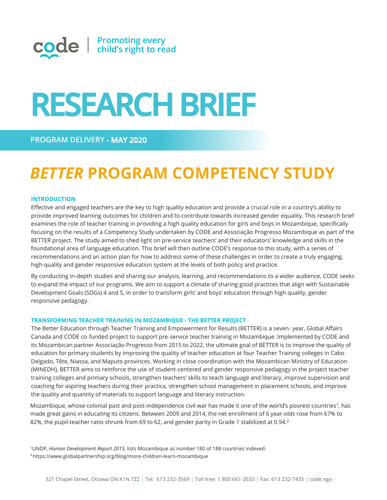

# **RESEARCH BRIEF**

# **MAY 2020**

# *BETTER* **PROGRAM COMPETENCY STUDY**

# **INTRODUCTION**

Effective and engaged teachers are the key to high quality education and provide a crucial role in a country's ability to provide improved learning outcomes for children and to contribute towards increased gender equality. This research brief examines the role of teacher training in providing a high quality education for girls and boys in Mozambique, specifically focusing on the results of a Competency Study undertaken by CODE and Associação Progresso Mozambique as part of the BETTER project. The study aimed to shed light on pre-service teachers' and their educators' knowledge and skills in the foundational area of language education. This brief will then outline CODE's response to this study, with a series of recommendations and an action plan for how to address some of these challenges in order to create a truly engaging, high quality and gender responsive education system at the levels of both policy and practice.

By conducting in-depth studies and sharing our analysis, learning, and recommendations to a wider audience, CODE seeks to expand the impact of our programs. We aim to support a climate of sharing good practices that align with Sustainable Development Goals (SDGs) 4 and 5, in order to transform girls' and boys' education through high quality, gender responsive pedagogy.

#### **TRANSFORMING TEACHER TRAINING IN MOZAMBIQUE - THE BETTER PROJECT**

The Better Education through Teacher Training and Empowerment for Results (BETTER) is a seven‐ year, Global Affairs Canada and CODE co‐funded project to support pre‐service teacher training in Mozambique. Implemented by CODE and its Mozambican partner Associação Progresso from 2015 to 2022, the ultimate goal of BETTER is to improve the quality of education for primary students by improving the quality of teacher education at four Teacher Training colleges in Cabo Delgado, Tête, Niassa, and Maputo provinces. Working in close coordination with the Mozambican Ministry of Education (MINEDH), BETTER aims to reinforce the use of student‐centered and gender responsive pedagogy in the project teacher training colleges and primary schools, strengthen teachers' skills to teach language and literacy, improve supervision and coaching for aspiring teachers during their practica, strengthen school management in placement schools, and improve the quality and quantity of materials to support language and literacy instruction.

Mozambique, whose colonial past and post-independence civil war has made it one of the world's poorest countries<sup>1</sup>, has made great gains in educating its citizens. Between 2009 and 2014, the net enrollment of 6 year-olds rose from 67% to 82%, the pupil-teacher ratio shrunk from 69 to 62, and gender parity in Grade 1 stabilized at 0.94.<sup>2</sup>

<sup>1</sup>UNDP, *Human Development Report 2015,* lists Mozambique as number 180 of 188 countries indexed. <sup>2</sup><https://www.globalpartnership.org/blog/more-children-learn-mozambique>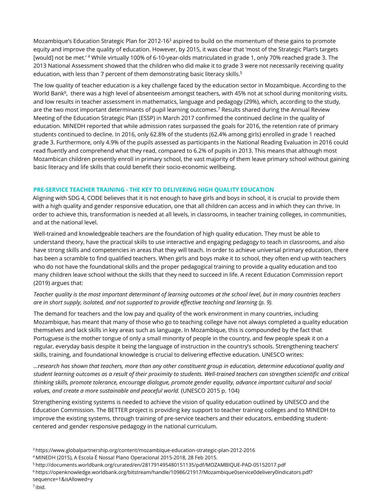Mozambique's Education Strategic Plan for 2012-16<sup>3</sup> aspired to build on the momentum of these gains to promote equity and improve the quality of education. However, by 2015, it was clear that 'most of the Strategic Plan's targets [would] not be met.' <sup>4</sup> While virtually 100% of 6-10-year-olds matriculated in grade 1, only 70% reached grade 3. The 2013 National Assessment showed that the children who did make it to grade 3 were not necessarily receiving quality education, with less than 7 percent of them demonstrating basic literacy skills.<sup>5</sup>

The low quality of teacher education is a key challenge faced by the education sector in Mozambique. According to the World Bank<sup>6</sup>, there was a high level of absenteeism amongst teachers, with 45% not at school during monitoring visits, and low results in teacher assessment in mathematics, language and pedagogy (29%), which, according to the study, are the two most important determinants of pupil learning outcomes.<sup>7</sup> Results shared during the Annual Review Meeting of the Education Strategic Plan (ESSP) in March 2017 confirmed the continued decline in the quality of education. MINEDH reported that while admission rates surpassed the goals for 2016, the retention rate of primary students continued to decline. In 2016, only 62.8% of the students (62.4% among girls) enrolled in grade 1 reached grade 3. Furthermore, only 4.9% of the pupils assessed as participants in the National Reading Evaluation in 2016 could read fluently and comprehend what they read, compared to 6.2% of pupils in 2013. This means that although most Mozambican children presently enroll in primary school, the vast majority of them leave primary school without gaining basic literacy and life skills that could benefit their socio-economic wellbeing.

# **PRE-SERVICE TEACHER TRAINING - THE KEY TO DELIVERING HIGH QUALITY EDUCATION**

Aligning with SDG 4, CODE believes that it is not enough to have girls and boys in school, it is crucial to provide them with a high quality and gender responsive education, one that all children can access and in which they can thrive. In order to achieve this, transformation is needed at all levels, in classrooms, in teacher training colleges, in communities, and at the national level.

Well-trained and knowledgeable teachers are the foundation of high quality education. They must be able to understand theory, have the practical skills to use interactive and engaging pedagogy to teach in classrooms, and also have strong skills and competencies in areas that they will teach. In order to achieve universal primary education, there has been a scramble to find qualified teachers. When girls and boys make it to school, they often end up with teachers who do not have the foundational skills and the proper pedagogical training to provide a quality education and too many children leave school without the skills that they need to succeed in life. A recent Education Commission report (2019) argues that:

# *Teacher quality is the most important determinant of learning outcomes at the school level, but in many countries teachers*  are in short supply, isolated, and not supported to provide effective teaching and learning (p. 9).

The demand for teachers and the low pay and quality of the work environment in many countries, including Mozambique, has meant that many of those who go to teaching college have not always completed a quality education themselves and lack skills in key areas such as language. In Mozambique, this is compounded by the fact that Portuguese is the mother tongue of only a small minority of people in the country, and few people speak it on a regular, everyday basis despite it being the language of instruction in the country's schools. Strengthening teachers' skills, training, and foundational knowledge is crucial to delivering effective education. UNESCO writes:

*…research has shown that teachers, more than any other constituent group in education, determine educational quality and student learning outcomes as a result of their proximity to students. Well-trained teachers can strengthen scientific and critical thinking skills, promote tolerance, encourage dialogue, promote gender equality, advance important cultural and social values, and create a more sustainable and peaceful world.* (UNESCO 2015 p. 104)

Strengthening existing systems is needed to achieve the vision of quality education outlined by UNESCO and the Education Commission. The BETTER project is providing key support to teacher training colleges and to MINEDH to improve the existing systems, through training of pre-service teachers and their educators, embedding studentcentered and gender responsive pedagogy in the national curriculum.

<sup>3</sup>https://www.globalpartnership.org/content/mozambique-education-strategic-plan-2012-2016

- <sup>5</sup>http://documents.worldbank.org/curated/en/281791495480151135/pdf/MOZAMBIQUE-PAD-05152017.pdf
- <sup>6</sup>https://openknowledge.worldbank.org/bitstream/handle/10986/21917/Mozambique0service0delivery0indicators.pdf?
- sequence=1&isAllowed=y

<sup>4</sup>MINEDH (2015), A Escola É Nossa! Plano Operacional 2015-2018, 28 Feb 2015.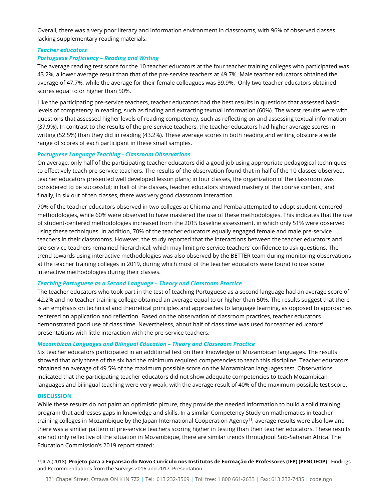# *Teacher educators Portuguese Proficiency – Reading and Writing*

The average reading test score for the 10 teacher educators at the four teacher training colleges who participated was 43.2%, a lower average result than that of the pre-service teachers at 49.7%. Male teacher educators obtained the average of 47.7%, while the average for their female colleagues was 39.9%. Only two teacher educators obtained scores equal to or higher than 50%.

Like the participating pre-service teachers, teacher educators had the best results in questions that assessed basic levels of competency in reading, such as finding and extracting textual information (60%). The worst results were with questions that assessed higher levels of reading competency, such as reflecting on and assessing textual information (37.9%). In contrast to the results of the pre-service teachers, the teacher educators had higher average scores in writing (52.5%) than they did in reading (43.2%). These average scores in both reading and writing obscure a wide range of scores of each participant in these small samples.

# *Portuguese Language Teaching - Classroom Observations*

On average, only half of the participating teacher educators did a good job using appropriate pedagogical techniques to effectively teach pre-service teachers. The results of the observation found that in half of the 10 classes observed, teacher educators presented well developed lesson plans; in four classes, the organization of the classroom was considered to be successful; in half of the classes, teacher educators showed mastery of the course content; and finally, in six out of ten classes, there was very good classroom interaction.

70% of the teacher educators observed in two colleges at Chitima and Pemba attempted to adopt student-centered methodologies, while 60% were observed to have mastered the use of these methodologies. This indicates that the use of student-centered methodologies increased from the 2015 baseline assessment, in which only 51% were observed using these techniques. In addition, 70% of the teacher educators equally engaged female and male preservice teachers in their classrooms. However, the study reported that the interactions between the teacher educators and pre-service teachers remained hierarchical, which may limit pre-service teachers' confidence to ask questions. The trend towards using interactive methodologies was also observed by the BETTER team during monitoring observations at the teacher training colleges in 2019, during which most of the teacher educators were found to use some interactive methodologies during their classes.

# *Teaching Portuguese as a Second Language – Theory and Classroom Practice*

The teacher educators who took part in the test of teaching Portuguese as a second language had an average score of 42.2% and no teacher training college obtained an average equal to or higher than 50%. The results suggest that there is an emphasis on technical and theoretical principles and approaches to language learning, as opposed to approaches centered on application and reflection. Based on the observation of classroom practices, teacher educators demonstrated good use of class time. Nevertheless, about half of class time was used for teacher educators' presentations with little interaction with the pre-service teachers.

# *Mozambican Languages and Bilingual Education – Theory and Classroom Practice*

Six teacher educators participated in an additional test on their knowledge of Mozambican languages. The results showed that only three of the six had the minimum required competencies to teach this discipline. Teacher educators obtained an average of 49.5% of the maximum possible score on the Mozambican languages test. Observations indicated that the participating teacher educators did not show adequate competencies to teach Mozambican languages and bilingual teaching were very weak, with the average result of 40% of the maximum possible test score.

11JICA (2018). Projeto para a Expansão do Novo Currículo nos Institutos de Formação de Professores (IFP) (PENCIFOP) : Findings and Recommendations from the Surveys 2016 and 2017. Presentation.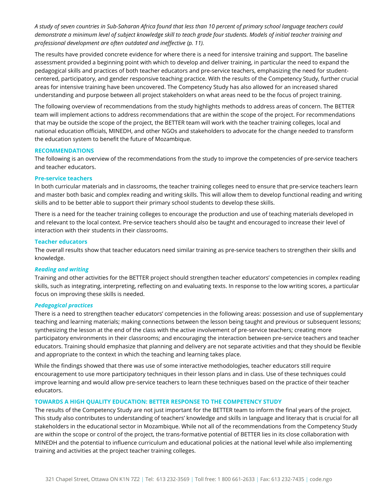#### **DISCUSSION**

While these results do not paint an optimistic picture, they provide the needed information to build a solid training program that *addresses gaps in knowledge and skills. In a similar Competency Study on mathematics in teacher training colleges in Mozambique by the Japan International Cooperation Agency11, average results were also low and there was a similar pattern of pre-service teachers scoring higher in testing than their teacher educators. These results are not only reflective of the situation in Mozambique, there are similar trends throughout Sub-Saharan Africa. The Education Commission's 2019 report stated:* 

*A study of seven countries in Sub-Saharan Africa found that less than 10 percent of primary school language teachers could demonstrate a minimum level of subject knowledge skill to teach grade four students. Models of initial teacher training and professional development are often outdated and ineffective (p. 11).*

The results have provided concrete evidence for where there is a need for intensive training and support. The baseline assessment provided a beginning point with which to develop and deliver training, in particular the need to expand the pedagogical skills and practices of both teacher educators and pre-service teachers, emphasizing the need for studentcentered, participatory, and gender responsive teaching practice. With the results of the Competency Study, further crucial areas for intensive training have been uncovered. The Competency Study has also allowed for an increased shared understanding and purpose between all project stakeholders on what areas need to be the focus of project training.

The following overview of recommendations from the study highlights methods to address areas of concern. The BETTER team will implement actions to address recommendations that are within the scope of the project. For recommendations that may be outside the scope of the project, the BETTER team will work with the teacher training colleges, local and national education officials, MINEDH, and other NGOs and stakeholders to advocate for the change needed to transform the education system to benefit the future of Mozambique.

#### **RECOMMENDATIONS**

The following is an overview of the recommendations from the study to improve the competencies of pre-service teachers and teacher educators.

#### **Pre-service teachers**

In both curricular materials and in classrooms, the teacher training colleges need to ensure that pre-service teachers learn and master both basic and complex reading and writing skills. This will allow them to develop functional reading and writing skills and to be better able to support their primary school students to develop these skills.

There is a need for the teacher training colleges to encourage the production and use of teaching materials developed in and relevant to the local context. Pre-service teachers should also be taught and encouraged to increase their level of interaction with their students in their classrooms.

#### **Teacher educators**

The overall results show that teacher educators need similar training as pre-service teachers to strengthen their skills and knowledge.

#### *Reading and writing*

Training and other activities for the BETTER project should strengthen teacher educators' competencies in complex reading skills, such as integrating, interpreting, reflecting on and evaluating texts. In response to the low writing scores, a particular focus on improving these skills is needed.

#### *Pedagogical practices*

There is a need to strengthen teacher educators' competencies in the following areas: possession and use of supplementary teaching and learning materials; making connections between the lesson being taught and previous or subsequent lessons; synthesizing the lesson at the end of the class with the active involvement of pre-service teachers; creating more participatory environments in their classrooms; and encouraging the interaction between pre-service teachers and teacher educators. Training should emphasize that planning and delivery are not separate activities and that they should be flexible and appropriate to the context in which the teaching and learning takes place.

While the findings showed that there was use of some interactive methodologies, teacher educators still require encouragement to use more participatory techniques in their lesson plans and in class. Use of these techniques could improve learning and would allow pre-service teachers to learn these techniques based on the practice of their teacher educators.

### **TOWARDS A HIGH QUALITY EDUCATION: BETTER RESPONSE TO THE COMPETENCY STUDY**

The results of the Competency Study are not just important for the BETTER team to inform the final years of the project. This study also contributes to understanding of teachers' knowledge and skills in language and literacy that is crucial for all stakeholders in the educational sector in Mozambique. While not all of the recommendations from the Competency Study are within the scope or control of the project, the trans-formative potential of BETTER lies in its close collaboration with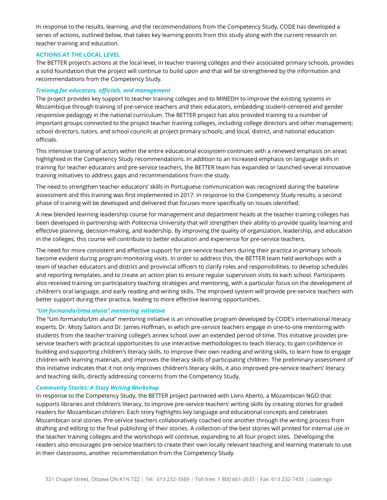In response to the results, learning, and the recommendations from the Competency Study, CODE has developed a series of actions, outlined below, that takes key learning points from this study along with the current research on teacher training and education.

# **ACTIONS AT THE LOCAL LEVEL**

The BETTER project's actions at the local level, in teacher training colleges and their associated primary schools, provides a solid foundation that the project will continue to build upon and that will be strengthened by the information and recommendations from the Competency Study.

# *Training for educators, officials, and management*

The project provides key support to teacher training colleges and to MINEDH to improve the existing systems in Mozambique through training of pre-service teachers and their educators, embedding student-centered and gender responsive pedagogy in the national curriculum. The BETTER project has also provided training to a number of important groups connected to the project teacher training colleges, including college directors and other management; school directors, tutors, and school councils at project primary schools; and local, district, and national education officials.

This intensive training of actors within the entire educational ecosystem continues with a renewed emphasis on areas highlighted in the Competency Study recommendations. In addition to an increased emphasis on language skills in training for teacher educators and pre-service teachers, the BETTER team has expanded or launched several innovative training initiatives to address gaps and recommendations from the study.

The need to strengthen teacher educators' skills in Portuguese communication was recognized during the baseline assessment and this training was first implemented in 2017. In response to the Competency Study results, a second phase of training will be developed and delivered that focuses more specifically on issues identified.

A new blended learning leadership course for management and department heads at the teacher training colleges has been developed in partnership with Politecnia University that will strengthen their ability to provide quality learning and effective planning, decision-making, and leadership. By improving the quality of organization, leadership, and education in the colleges, this course will contribute to better education and experience for pre-service teachers.

The need for more consistent and effective support for pre-service teachers during their practica in primary schools become evident during program monitoring visits. In order to address this, the BETTER team held workshops with a team of teacher educators and district and provincial officers to clarify roles and responsibilities, to develop schedules and reporting templates, and to create an action plan to ensure regular supervision visits to each school. Participants also received training on participatory teaching strategies and mentoring, with a particular focus on the development of children's oral language, and early reading and writing skills. The improved system will provide pre-service teachers with better support during their practica, leading to more effective learning opportunities.

# *"Um formando/Uma aluna" mentoring initiative*

The "Um formando/Um aluna" mentoring initiative is an innovative program developed by CODE's international literacy experts, Dr. Misty Sailors and Dr. James Hoffman, in which pre-service teachers engage in one-to-one mentoring with students from the teacher training college's annex school over an extended period of time. This initiative provides preservice teachers with practical opportunities to use interactive methodologies to teach literacy, to gain confidence in building and supporting children's literacy skills, to improve their own reading and writing skills, to learn how to engage children with learning materials, and improves the literacy skills of participating children. The preliminary assessment of this initiative indicates that it not only improves children's literacy skills, it also improved pre-service teachers' literacy and teaching skills, directly addressing concerns from the Competency Study.

# *Community Stories: A Story Writing Workshop*

In response to the Competency Study, the BETTER project partnered with Livro Aberto, a Mozambican NGO that supports libraries and children's literacy, to improve pre-service teachers' writing skills by creating stories for graded readers for Mozambican children. Each story highlights key language and educational concepts and celebrates Mozambican oral stories. Pre-service teachers collaboratively coached one another through the writing process from drafting and editing to the final publishing of their stories. A collection of the best stories will printed for internal use in the teacher training colleges and the workshops will continue, expanding to all four project sites. Developing the readers also encourages pre-service teachers to create their own locally relevant teaching and learning materials to use in their classrooms, another recommendation from the Competency Study.